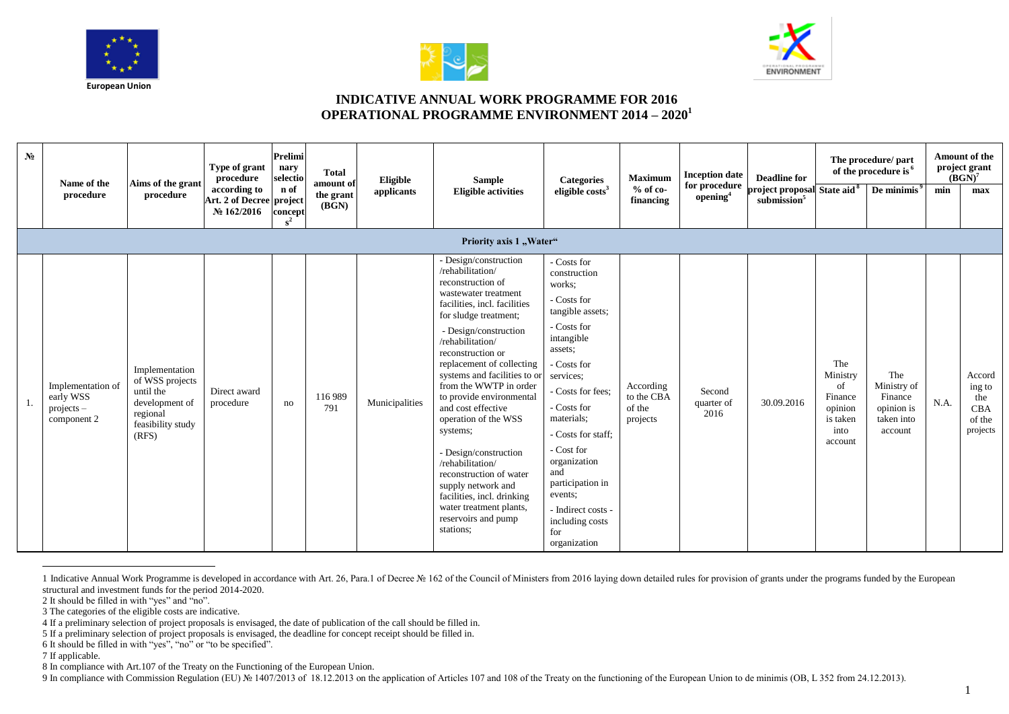





## **INDICATIVE ANNUAL WORK PROGRAMME FOR 2016 OPERATIONAL PROGRAMME ENVIRONMENT 2014 – 2020<sup>1</sup>**

| N <sub>0</sub> | Name of the<br>procedure                                      | Aims of the grant<br>procedure                                                                             | Type of grant<br>procedure<br>according to<br>Art. 2 of Decree project<br>№ 162/2016 | <b>Prelimi</b><br>nary<br>selectio<br>n of<br>concept<br>$s^2$ | <b>Total</b><br>amount of<br>the grant<br>(BGN) | Eligible<br>applicants | <b>Sample</b><br><b>Eligible activities</b>                                                                                                                                                                                                                                                                                                                                                                                                                                                                                                                                               | <b>Categories</b><br>eligible costs <sup>3</sup>                                                                                                                                                                                                                                                                                                         | <b>Maximum</b><br>$%$ of co-<br>financing     | <b>Inception date</b><br>for procedure<br>opening <sup>4</sup> | <b>Deadline for</b><br>project proposal State aid <sup>8</sup><br>submission <sup>5</sup> |                                                                            | The procedure/ part<br>of the procedure is <sup>6</sup><br>De minimis <sup>9</sup> | min  | <b>Amount of the</b><br>project grant<br>$(BGN)^7$<br>max   |
|----------------|---------------------------------------------------------------|------------------------------------------------------------------------------------------------------------|--------------------------------------------------------------------------------------|----------------------------------------------------------------|-------------------------------------------------|------------------------|-------------------------------------------------------------------------------------------------------------------------------------------------------------------------------------------------------------------------------------------------------------------------------------------------------------------------------------------------------------------------------------------------------------------------------------------------------------------------------------------------------------------------------------------------------------------------------------------|----------------------------------------------------------------------------------------------------------------------------------------------------------------------------------------------------------------------------------------------------------------------------------------------------------------------------------------------------------|-----------------------------------------------|----------------------------------------------------------------|-------------------------------------------------------------------------------------------|----------------------------------------------------------------------------|------------------------------------------------------------------------------------|------|-------------------------------------------------------------|
|                |                                                               |                                                                                                            |                                                                                      |                                                                |                                                 |                        | Priority axis 1 "Water"                                                                                                                                                                                                                                                                                                                                                                                                                                                                                                                                                                   |                                                                                                                                                                                                                                                                                                                                                          |                                               |                                                                |                                                                                           |                                                                            |                                                                                    |      |                                                             |
| -1.            | Implementation of<br>early WSS<br>$projects -$<br>component 2 | Implementation<br>of WSS projects<br>until the<br>development of<br>regional<br>feasibility study<br>(RFS) | Direct award<br>procedure                                                            | no                                                             | 116 989<br>791                                  | Municipalities         | - Design/construction<br>/rehabilitation/<br>reconstruction of<br>wastewater treatment<br>facilities, incl. facilities<br>for sludge treatment;<br>- Design/construction<br>/rehabilitation/<br>reconstruction or<br>replacement of collecting<br>systems and facilities to or<br>from the WWTP in order<br>to provide environmental<br>and cost effective<br>operation of the WSS<br>systems;<br>- Design/construction<br>/rehabilitation/<br>reconstruction of water<br>supply network and<br>facilities, incl. drinking<br>water treatment plants,<br>reservoirs and pump<br>stations: | - Costs for<br>construction<br>works:<br>- Costs for<br>tangible assets;<br>- Costs for<br>intangible<br>assets;<br>- Costs for<br>services:<br>- Costs for fees:<br>- Costs for<br>materials:<br>- Costs for staff;<br>- Cost for<br>organization<br>and<br>participation in<br>events:<br>- Indirect costs -<br>including costs<br>for<br>organization | According<br>to the CBA<br>of the<br>projects | Second<br>quarter of<br>2016                                   | 30.09.2016                                                                                | The<br>Ministry<br>of<br>Finance<br>opinion<br>is taken<br>into<br>account | The<br>Ministry of<br>Finance<br>opinion is<br>taken into<br>account               | N.A. | Accord<br>ing to<br>the<br><b>CBA</b><br>of the<br>projects |

<sup>1</sup> Indicative Annual Work Programme is developed in accordance with Art. 26, Para.1 of Decree Nº 162 of the Council of Ministers from 2016 laying down detailed rules for provision of grants under the programs funded by the structural and investment funds for the period 2014-2020.

 $\overline{a}$ 

9 In compliance with Commission Regulation (EU) № 1407/2013 of 18.12.2013 on the application of Articles 107 and 108 of the Treaty on the functioning of the European Union to de minimis (OB, L 352 from 24.12.2013).

<sup>2</sup> It should be filled in with "yes" and "no".

<sup>3</sup> The categories of the eligible costs are indicative.

<sup>4</sup> If a preliminary selection of project proposals is envisaged, the date of publication of the call should be filled in.

<sup>5</sup> If a preliminary selection of project proposals is envisaged, the deadline for concept receipt should be filled in.

<sup>6</sup> It should be filled in with "yes", "no" or "to be specified".

<sup>7</sup> If applicable.

<sup>8</sup> In compliance with Art.107 of the Treaty on the Functioning of the European Union.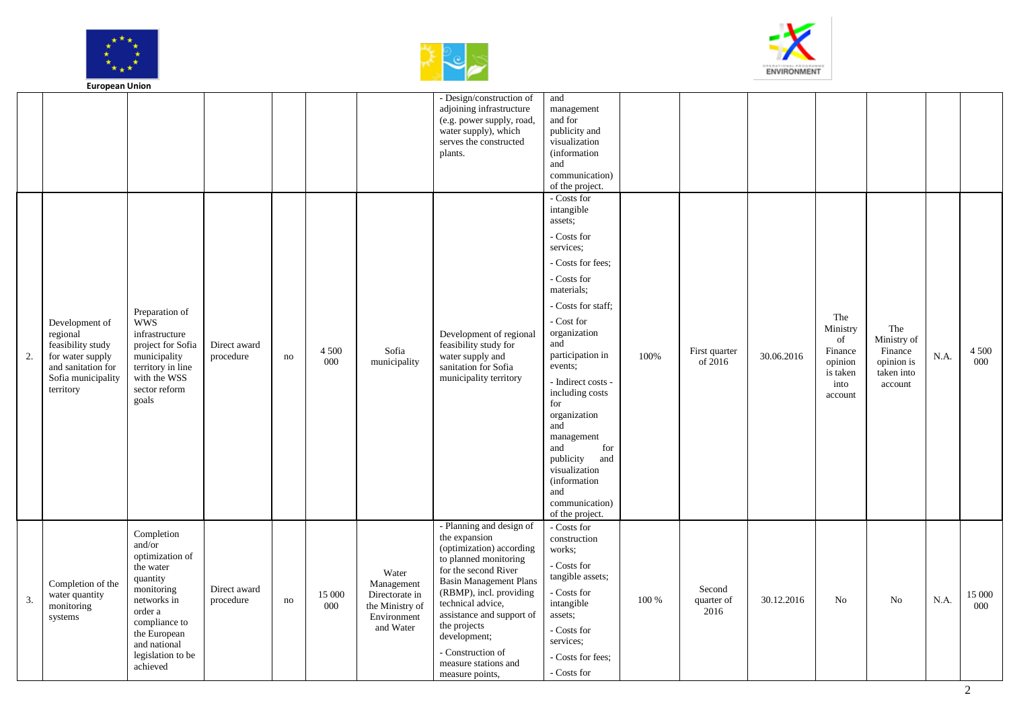





|    | European Union                                                                            |                                                                                 |                           |    |                  |                                                  |                                                                                                                                                         |                                                                                                                            |       |                              |            |                                                         |                                                           |      |                  |
|----|-------------------------------------------------------------------------------------------|---------------------------------------------------------------------------------|---------------------------|----|------------------|--------------------------------------------------|---------------------------------------------------------------------------------------------------------------------------------------------------------|----------------------------------------------------------------------------------------------------------------------------|-------|------------------------------|------------|---------------------------------------------------------|-----------------------------------------------------------|------|------------------|
|    |                                                                                           |                                                                                 |                           |    |                  |                                                  | - Design/construction of<br>adjoining infrastructure<br>(e.g. power supply, road,<br>water supply), which<br>serves the constructed<br>plants.          | and<br>management<br>and for<br>publicity and<br>visualization<br>(information<br>and<br>communication)<br>of the project. |       |                              |            |                                                         |                                                           |      |                  |
|    |                                                                                           |                                                                                 |                           |    |                  |                                                  |                                                                                                                                                         | - Costs for<br>intangible<br>assets;                                                                                       |       |                              |            |                                                         |                                                           |      |                  |
|    |                                                                                           |                                                                                 |                           |    |                  |                                                  |                                                                                                                                                         | - Costs for<br>services;                                                                                                   |       |                              |            |                                                         |                                                           |      |                  |
|    |                                                                                           |                                                                                 |                           |    |                  |                                                  |                                                                                                                                                         | - Costs for fees:<br>- Costs for                                                                                           |       |                              |            |                                                         |                                                           |      |                  |
|    |                                                                                           | Preparation of                                                                  |                           |    |                  |                                                  |                                                                                                                                                         | materials:<br>- Costs for staff;                                                                                           |       |                              |            |                                                         |                                                           |      |                  |
| 2. | Development of<br>regional<br>feasibility study<br>for water supply<br>and sanitation for | wws<br>infrastructure<br>project for Sofia<br>municipality<br>territory in line | Direct award<br>procedure | no | 4 500<br>000     | Sofia<br>municipality                            | Development of regional<br>feasibility study for<br>water supply and<br>sanitation for Sofia                                                            | - Cost for<br>organization<br>and<br>participation in<br>events;                                                           | 100%  | First quarter<br>of 2016     | 30.06.2016 | The<br>Ministry<br>of<br>Finance<br>opinion<br>is taken | The<br>Ministry of<br>Finance<br>opinion is<br>taken into | N.A. | 4 5 0 0<br>000   |
|    | Sofia municipality<br>territory                                                           | with the WSS<br>sector reform<br>goals                                          |                           |    |                  |                                                  | municipality territory                                                                                                                                  | - Indirect costs -<br>including costs<br>for<br>organization<br>and                                                        |       |                              |            | into<br>account                                         | account                                                   |      |                  |
|    |                                                                                           |                                                                                 |                           |    |                  |                                                  |                                                                                                                                                         | management<br>for<br>and<br>publicity<br>and<br>visualization<br><i>(information)</i><br>and                               |       |                              |            |                                                         |                                                           |      |                  |
|    |                                                                                           |                                                                                 |                           |    |                  |                                                  |                                                                                                                                                         | communication)<br>of the project.                                                                                          |       |                              |            |                                                         |                                                           |      |                  |
|    | Completion of the                                                                         | Completion<br>and/or<br>optimization of<br>the water<br>quantity                |                           |    |                  | Water<br>Management                              | - Planning and design of<br>the expansion<br>(optimization) according<br>to planned monitoring<br>for the second River<br><b>Basin Management Plans</b> | - Costs for<br>construction<br>works;<br>- Costs for<br>tangible assets;                                                   |       |                              |            |                                                         |                                                           |      |                  |
| 3. | water quantity<br>monitoring<br>systems                                                   | monitoring<br>networks in<br>order a<br>compliance to                           | Direct award<br>procedure | no | $15\,000$<br>000 | Directorate in<br>the Ministry of<br>Environment | (RBMP), incl. providing<br>technical advice,<br>assistance and support of                                                                               | - Costs for<br>intangible<br>assets;                                                                                       | 100 % | Second<br>quarter of<br>2016 | 30.12.2016 | No                                                      | No                                                        | N.A. | $15\;000$<br>000 |
|    |                                                                                           |                                                                                 |                           |    |                  |                                                  | the projects                                                                                                                                            |                                                                                                                            |       |                              |            |                                                         |                                                           |      |                  |
|    |                                                                                           | the European<br>and national<br>legislation to be                               |                           |    |                  | and Water                                        | development;<br>- Construction of                                                                                                                       | - Costs for<br>services:                                                                                                   |       |                              |            |                                                         |                                                           |      |                  |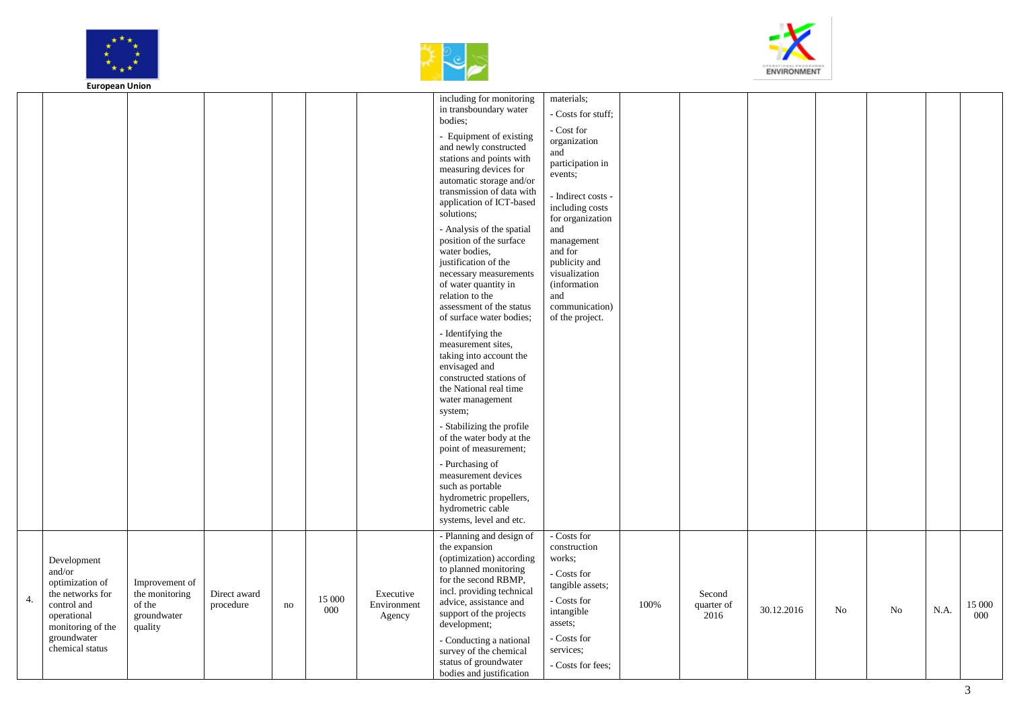





|    | Lui opean Onion                                                                                                                                   |                                                                      |                           |               |               |                                    |                                                                                                                                                                                                                                                                                                                                                                                                                                                                                                                                                                                                                                                                                                                                                                                                                                                                                                               |                                                                                                                                                                                                                                                                                                                                   |      |                              |            |    |    |      |                  |
|----|---------------------------------------------------------------------------------------------------------------------------------------------------|----------------------------------------------------------------------|---------------------------|---------------|---------------|------------------------------------|---------------------------------------------------------------------------------------------------------------------------------------------------------------------------------------------------------------------------------------------------------------------------------------------------------------------------------------------------------------------------------------------------------------------------------------------------------------------------------------------------------------------------------------------------------------------------------------------------------------------------------------------------------------------------------------------------------------------------------------------------------------------------------------------------------------------------------------------------------------------------------------------------------------|-----------------------------------------------------------------------------------------------------------------------------------------------------------------------------------------------------------------------------------------------------------------------------------------------------------------------------------|------|------------------------------|------------|----|----|------|------------------|
|    |                                                                                                                                                   |                                                                      |                           |               |               |                                    | including for monitoring<br>in transboundary water<br>bodies;<br>- Equipment of existing<br>and newly constructed<br>stations and points with<br>measuring devices for<br>automatic storage and/or<br>transmission of data with<br>application of ICT-based<br>solutions;<br>- Analysis of the spatial<br>position of the surface<br>water bodies,<br>justification of the<br>necessary measurements<br>of water quantity in<br>relation to the<br>assessment of the status<br>of surface water bodies;<br>- Identifying the<br>measurement sites,<br>taking into account the<br>envisaged and<br>constructed stations of<br>the National real time<br>water management<br>system;<br>- Stabilizing the profile<br>of the water body at the<br>point of measurement;<br>- Purchasing of<br>measurement devices<br>such as portable<br>hydrometric propellers,<br>hydrometric cable<br>systems, level and etc. | materials;<br>- Costs for stuff;<br>- Cost ${\mathop{\rm for}\nolimits}$<br>organization<br>and<br>participation in<br>events;<br>- Indirect costs -<br>including costs<br>for organization<br>and<br>management<br>and for<br>publicity and<br>visualization<br><i>(information)</i><br>and<br>communication)<br>of the project. |      |                              |            |    |    |      |                  |
| 4. | Development<br>and/or<br>optimization of<br>the networks for<br>control and<br>operational<br>monitoring of the<br>groundwater<br>chemical status | Improvement of<br>the monitoring<br>of the<br>groundwater<br>quality | Direct award<br>procedure | $\mathbf{no}$ | 15 000<br>000 | Executive<br>Environment<br>Agency | - Planning and design of<br>the expansion<br>(optimization) according<br>to planned monitoring<br>for the second RBMP,<br>incl. providing technical<br>advice, assistance and<br>support of the projects<br>development;<br>- Conducting a national<br>survey of the chemical<br>status of groundwater<br>bodies and justification                                                                                                                                                                                                                                                                                                                                                                                                                                                                                                                                                                            | - Costs for<br>construction<br>works;<br>- Costs for<br>tangible assets;<br>- Costs for<br>intangible<br>assets;<br>- Costs for<br>services;<br>- Costs for fees;                                                                                                                                                                 | 100% | Second<br>quarter of<br>2016 | 30.12.2016 | No | No | N.A. | $15\;000$<br>000 |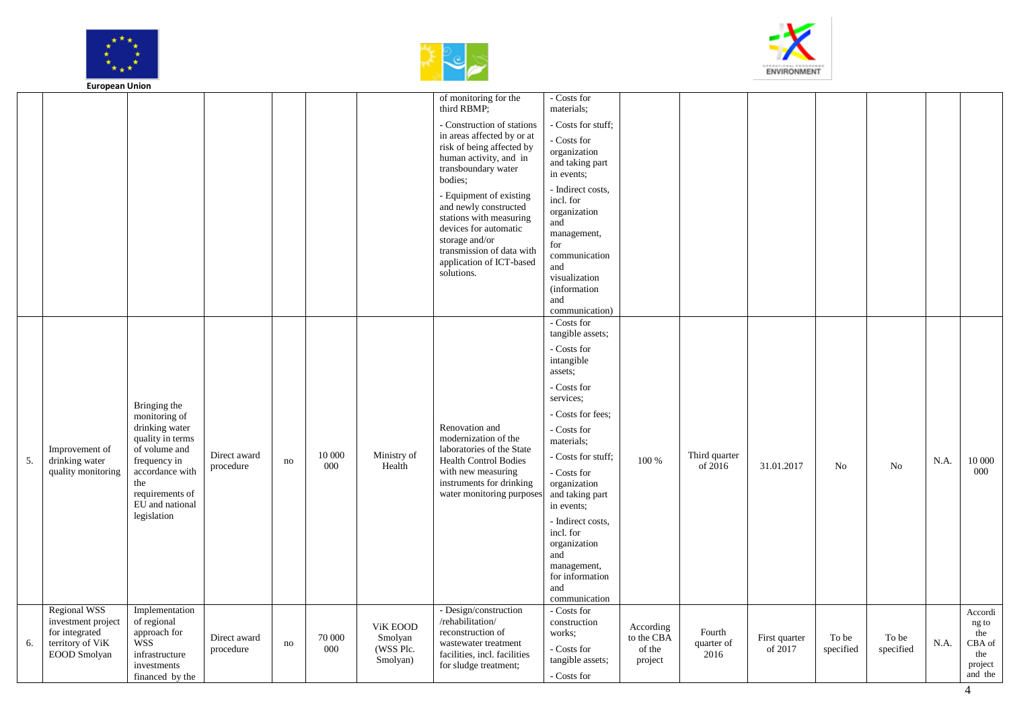





|    | <b>European Union</b>                     |                                           |                           |    |               |                      |                                                                                                                                                                                                                                                                                                                                                    |                                                                                                                                                                                                                                                   |                      |               |                          |                    |                |      |                  |
|----|-------------------------------------------|-------------------------------------------|---------------------------|----|---------------|----------------------|----------------------------------------------------------------------------------------------------------------------------------------------------------------------------------------------------------------------------------------------------------------------------------------------------------------------------------------------------|---------------------------------------------------------------------------------------------------------------------------------------------------------------------------------------------------------------------------------------------------|----------------------|---------------|--------------------------|--------------------|----------------|------|------------------|
|    |                                           |                                           |                           |    |               |                      | of monitoring for the<br>third RBMP;                                                                                                                                                                                                                                                                                                               | - Costs for<br>materials;                                                                                                                                                                                                                         |                      |               |                          |                    |                |      |                  |
|    |                                           |                                           |                           |    |               |                      | - Construction of stations<br>in areas affected by or at<br>risk of being affected by<br>human activity, and in<br>transboundary water<br>bodies;<br>- Equipment of existing<br>and newly constructed<br>stations with measuring<br>devices for automatic<br>storage and/or<br>transmission of data with<br>application of ICT-based<br>solutions. | - Costs for stuff;<br>Costs for<br>organization<br>and taking part<br>in events;<br>- Indirect costs,<br>incl. for<br>organization<br>and<br>management,<br>for<br>communication<br>and<br>visualization<br>(information<br>and<br>communication) |                      |               |                          |                    |                |      |                  |
|    |                                           |                                           |                           |    |               |                      |                                                                                                                                                                                                                                                                                                                                                    | - Costs for<br>tangible assets;                                                                                                                                                                                                                   |                      |               |                          |                    |                |      |                  |
|    |                                           |                                           |                           |    |               |                      |                                                                                                                                                                                                                                                                                                                                                    | - Costs for<br>intangible<br>assets;                                                                                                                                                                                                              |                      |               |                          |                    |                |      |                  |
|    |                                           | Bringing the                              |                           |    |               |                      |                                                                                                                                                                                                                                                                                                                                                    | - Costs for<br>services:                                                                                                                                                                                                                          |                      |               |                          |                    |                |      |                  |
|    |                                           | monitoring of<br>drinking water           |                           |    |               |                      | Renovation and                                                                                                                                                                                                                                                                                                                                     | - Costs for fees:<br>- Costs for                                                                                                                                                                                                                  |                      |               |                          |                    |                |      |                  |
|    | Improvement of                            | quality in terms<br>of volume and         | Direct award              |    | 10 000        | Ministry of          | modernization of the<br>laboratories of the State                                                                                                                                                                                                                                                                                                  | materials;<br>Costs for stuff;                                                                                                                                                                                                                    |                      | Third quarter |                          |                    |                |      |                  |
| 5. | drinking water<br>quality monitoring      | frequency in<br>accordance with           | procedure                 | no | 000           | Health               | <b>Health Control Bodies</b><br>with new measuring                                                                                                                                                                                                                                                                                                 |                                                                                                                                                                                                                                                   | 100 %                | of 2016       | 31.01.2017               | N <sub>0</sub>     | N <sub>0</sub> | N.A. | 10 000<br>000    |
|    |                                           | the<br>requirements of<br>EU and national |                           |    |               |                      | instruments for drinking<br>water monitoring purpose                                                                                                                                                                                                                                                                                               | Costs for<br>organization<br>and taking part<br>in events:                                                                                                                                                                                        |                      |               |                          |                    |                |      |                  |
|    |                                           | legislation                               |                           |    |               |                      |                                                                                                                                                                                                                                                                                                                                                    | - Indirect costs,<br>incl. for<br>organization<br>and                                                                                                                                                                                             |                      |               |                          |                    |                |      |                  |
|    |                                           |                                           |                           |    |               |                      |                                                                                                                                                                                                                                                                                                                                                    | management,                                                                                                                                                                                                                                       |                      |               |                          |                    |                |      |                  |
|    |                                           |                                           |                           |    |               |                      |                                                                                                                                                                                                                                                                                                                                                    | for information<br>and<br>communication                                                                                                                                                                                                           |                      |               |                          |                    |                |      |                  |
|    | <b>Regional WSS</b><br>investment project | Implementation<br>of regional             |                           |    |               | ViK EOOD             | - Design/construction<br>/rehabilitation/<br>reconstruction of                                                                                                                                                                                                                                                                                     | - Costs for<br>construction                                                                                                                                                                                                                       | According            | Fourth        |                          |                    |                |      | Accordi<br>ng to |
| 6. | for integrated<br>territory of ViK        | approach for<br><b>WSS</b>                | Direct award<br>procedure | no | 70 000<br>000 | Smolyan<br>(WSS Plc. | wastewater treatment                                                                                                                                                                                                                                                                                                                               | works;<br>- Costs for                                                                                                                                                                                                                             | to the CBA<br>of the | quarter of    | First quarter<br>of 2017 | To be<br>specified | To be          | N.A. | the<br>CBA of    |
|    | <b>EOOD</b> Smolyan                       | infrastructure<br>investments             |                           |    |               | Smolyan)             | facilities, incl. facilities<br>for sludge treatment;                                                                                                                                                                                                                                                                                              | tangible assets;                                                                                                                                                                                                                                  | project              | 2016          |                          |                    | specified      |      | the<br>project   |
|    |                                           | financed by the                           |                           |    |               |                      |                                                                                                                                                                                                                                                                                                                                                    | - Costs for                                                                                                                                                                                                                                       |                      |               |                          |                    |                |      | and the          |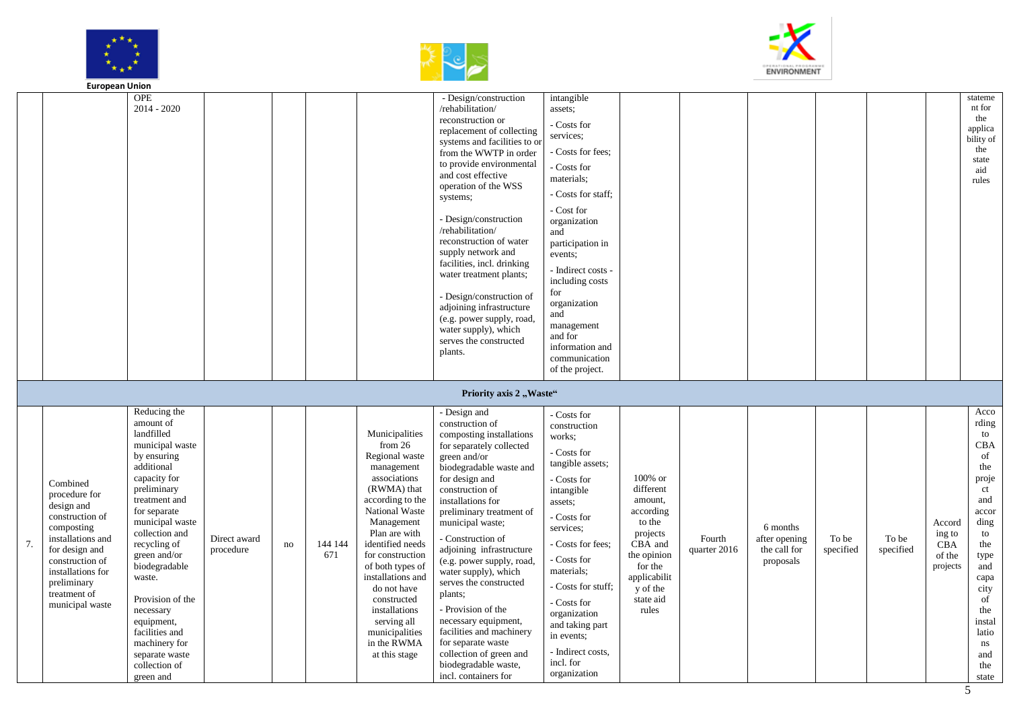





|    | <b>European Union</b>                                                                                                                                                                                     |                                                                                                                                                                                                                                                                                                                                                                                           |                           |    |                |                                                                                                                                                                                                                                                                                                                                                                  |                                                                                                                                                                                                                                                                                                                                                                                                                                                                                                                                                                                               |                                                                                                                                                                                                                                                                                                                                                      |                                                                                                                                                           |                        |                                                        |                    |                    |                                                      |                                                                                                                                                                                         |
|----|-----------------------------------------------------------------------------------------------------------------------------------------------------------------------------------------------------------|-------------------------------------------------------------------------------------------------------------------------------------------------------------------------------------------------------------------------------------------------------------------------------------------------------------------------------------------------------------------------------------------|---------------------------|----|----------------|------------------------------------------------------------------------------------------------------------------------------------------------------------------------------------------------------------------------------------------------------------------------------------------------------------------------------------------------------------------|-----------------------------------------------------------------------------------------------------------------------------------------------------------------------------------------------------------------------------------------------------------------------------------------------------------------------------------------------------------------------------------------------------------------------------------------------------------------------------------------------------------------------------------------------------------------------------------------------|------------------------------------------------------------------------------------------------------------------------------------------------------------------------------------------------------------------------------------------------------------------------------------------------------------------------------------------------------|-----------------------------------------------------------------------------------------------------------------------------------------------------------|------------------------|--------------------------------------------------------|--------------------|--------------------|------------------------------------------------------|-----------------------------------------------------------------------------------------------------------------------------------------------------------------------------------------|
|    |                                                                                                                                                                                                           | <b>OPE</b><br>$2014 - 2020$                                                                                                                                                                                                                                                                                                                                                               |                           |    |                |                                                                                                                                                                                                                                                                                                                                                                  | - Design/construction<br>/rehabilitation/<br>reconstruction or<br>replacement of collecting<br>systems and facilities to or<br>from the WWTP in order<br>to provide environmental<br>and cost effective<br>operation of the WSS<br>systems;<br>- Design/construction<br>/rehabilitation/<br>reconstruction of water<br>supply network and<br>facilities, incl. drinking<br>water treatment plants;<br>- Design/construction of<br>adjoining infrastructure<br>(e.g. power supply, road,<br>water supply), which<br>serves the constructed<br>plants.                                          | intangible<br>assets;<br>- Costs for<br>services:<br>- Costs for fees;<br>- Costs for<br>materials;<br>- Costs for staff;<br>- Cost for<br>organization<br>and<br>participation in<br>events:<br>- Indirect costs -<br>including costs<br>for<br>organization<br>and<br>management<br>and for<br>information and<br>communication<br>of the project. |                                                                                                                                                           |                        |                                                        |                    |                    |                                                      | stateme<br>nt for<br>the<br>applica<br>bility of<br>the<br>state<br>aid<br>rules                                                                                                        |
| 7. | Combined<br>procedure for<br>design and<br>construction of<br>composting<br>installations and<br>for design and<br>construction of<br>installations for<br>preliminary<br>treatment of<br>municipal waste | Reducing the<br>amount of<br>landfilled<br>municipal waste<br>by ensuring<br>additional<br>capacity for<br>preliminary<br>treatment and<br>for separate<br>municipal waste<br>collection and<br>recycling of<br>green and/or<br>biodegradable<br>waste.<br>Provision of the<br>necessary<br>equipment,<br>facilities and<br>machinery for<br>separate waste<br>collection of<br>green and | Direct award<br>procedure | no | 144 144<br>671 | Municipalities<br>from $26$<br>Regional waste<br>management<br>associations<br>(RWMA) that<br>according to the<br>National Waste<br>Management<br>Plan are with<br>identified needs<br>for construction<br>of both types of<br>installations and<br>do not have<br>constructed<br>installations<br>serving all<br>municipalities<br>in the RWMA<br>at this stage | Priority axis 2, Waste"<br>- Design and<br>construction of<br>composting installations<br>for separately collected<br>green and/or<br>biodegradable waste and<br>for design and<br>construction of<br>installations for<br>preliminary treatment of<br>municipal waste;<br>- Construction of<br>adjoining infrastructure<br>(e.g. power supply, road,<br>water supply), which<br>serves the constructed<br>plants;<br>- Provision of the<br>necessary equipment,<br>facilities and machinery<br>for separate waste<br>collection of green and<br>biodegradable waste,<br>incl. containers for | - Costs for<br>construction<br>works;<br>- Costs for<br>tangible assets;<br>- Costs for<br>intangible<br>assets:<br>- Costs for<br>services:<br>- Costs for fees:<br>- Costs for<br>materials;<br>- Costs for stuff;<br>- Costs for<br>organization<br>and taking part<br>in events:<br>- Indirect costs,<br>incl. for<br>organization               | 100% or<br>different<br>amount,<br>according<br>to the<br>projects<br>CBA and<br>the opinion<br>for the<br>applicabilit<br>y of the<br>state aid<br>rules | Fourth<br>quarter 2016 | 6 months<br>after opening<br>the call for<br>proposals | To be<br>specified | To be<br>specified | Accord<br>ing to<br><b>CBA</b><br>of the<br>projects | Acco<br>rding<br>to<br>CBA<br>of<br>the<br>proje<br>ct<br>and<br>accor<br>ding<br>to<br>the<br>type<br>and<br>capa<br>city<br>of<br>the<br>instal<br>latio<br>ns<br>and<br>the<br>state |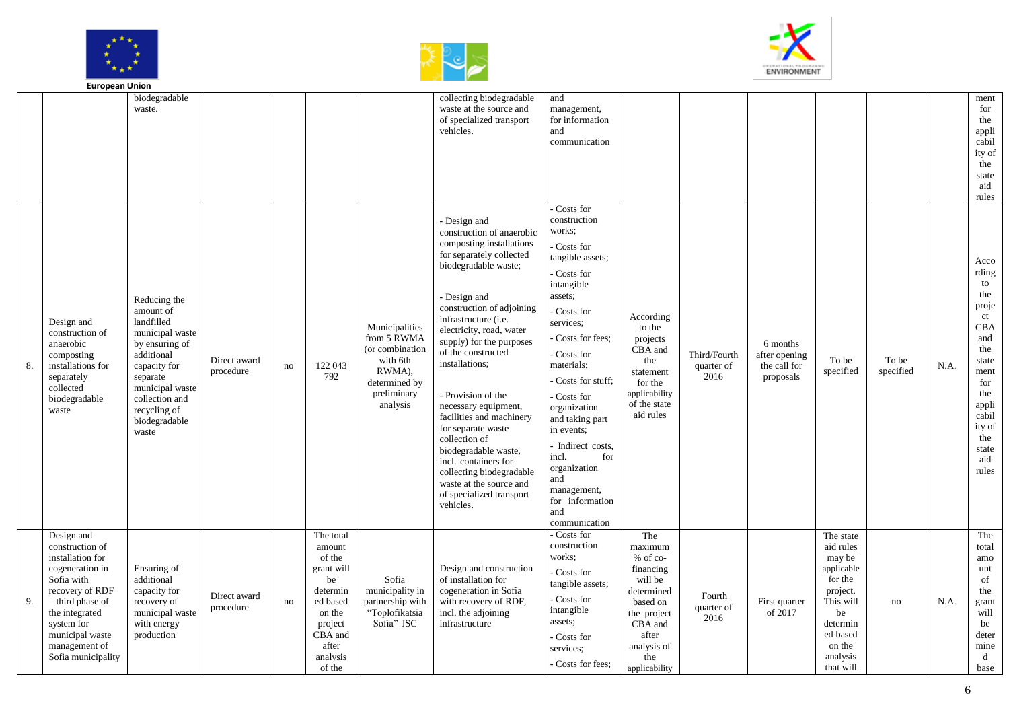





|    | <b>European Union</b>                                                                                                                                                                                               |                                                                                                                                                                                                       |                           |    |                                                                                                                                          |                                                                                                                    |                                                                                                                                                                                                                                                                                                                                                                                                                                                                                                                                                                 |                                                                                                                                                                                                                                                                                                                                                                                                            |                                                                                                                                                        |                                    |                                                        |                                                                                                                                                     |                    |      |                                                                                                                                                           |
|----|---------------------------------------------------------------------------------------------------------------------------------------------------------------------------------------------------------------------|-------------------------------------------------------------------------------------------------------------------------------------------------------------------------------------------------------|---------------------------|----|------------------------------------------------------------------------------------------------------------------------------------------|--------------------------------------------------------------------------------------------------------------------|-----------------------------------------------------------------------------------------------------------------------------------------------------------------------------------------------------------------------------------------------------------------------------------------------------------------------------------------------------------------------------------------------------------------------------------------------------------------------------------------------------------------------------------------------------------------|------------------------------------------------------------------------------------------------------------------------------------------------------------------------------------------------------------------------------------------------------------------------------------------------------------------------------------------------------------------------------------------------------------|--------------------------------------------------------------------------------------------------------------------------------------------------------|------------------------------------|--------------------------------------------------------|-----------------------------------------------------------------------------------------------------------------------------------------------------|--------------------|------|-----------------------------------------------------------------------------------------------------------------------------------------------------------|
|    |                                                                                                                                                                                                                     | biodegradable<br>waste.                                                                                                                                                                               |                           |    |                                                                                                                                          |                                                                                                                    | collecting biodegradable<br>waste at the source and<br>of specialized transport<br>vehicles.                                                                                                                                                                                                                                                                                                                                                                                                                                                                    | and<br>management,<br>for information<br>and<br>communication                                                                                                                                                                                                                                                                                                                                              |                                                                                                                                                        |                                    |                                                        |                                                                                                                                                     |                    |      | ment<br>for<br>the<br>appli<br>cabil<br>ity of<br>the<br>state<br>aid<br>rules                                                                            |
| 8. | Design and<br>construction of<br>anaerobic<br>composting<br>installations for<br>separately<br>collected<br>biodegradable<br>waste                                                                                  | Reducing the<br>amount of<br>landfilled<br>municipal waste<br>by ensuring of<br>additional<br>capacity for<br>separate<br>municipal waste<br>collection and<br>recycling of<br>biodegradable<br>waste | Direct award<br>procedure | no | 122 043<br>792                                                                                                                           | Municipalities<br>from 5 RWMA<br>(or combination<br>with 6th<br>RWMA),<br>determined by<br>preliminary<br>analysis | - Design and<br>construction of anaerobic<br>composting installations<br>for separately collected<br>biodegradable waste;<br>- Design and<br>construction of adjoining<br>infrastructure (i.e.<br>electricity, road, water<br>supply) for the purposes<br>of the constructed<br>installations;<br>- Provision of the<br>necessary equipment,<br>facilities and machinery<br>for separate waste<br>collection of<br>biodegradable waste,<br>incl. containers for<br>collecting biodegradable<br>waste at the source and<br>of specialized transport<br>vehicles. | - Costs for<br>construction<br>works:<br>- Costs for<br>tangible assets;<br>- Costs for<br>intangible<br>assets;<br>- Costs for<br>services:<br>- Costs for fees:<br>- Costs for<br>materials;<br>- Costs for stuff;<br>- Costs for<br>organization<br>and taking part<br>in events;<br>- Indirect costs,<br>for<br>incl.<br>organization<br>and<br>management,<br>for information<br>and<br>communication | According<br>to the<br>projects<br>CBA and<br>the<br>statement<br>for the<br>applicability<br>of the state<br>aid rules                                | Third/Fourth<br>quarter of<br>2016 | 6 months<br>after opening<br>the call for<br>proposals | To be<br>specified                                                                                                                                  | To be<br>specified | N.A. | Acco<br>rding<br>to<br>the<br>proje<br>ct<br>CBA<br>and<br>the<br>state<br>ment<br>for<br>the<br>appli<br>cabil<br>ity of<br>the<br>state<br>aid<br>rules |
| 9. | Design and<br>construction of<br>installation for<br>cogeneration in<br>Sofia with<br>recovery of RDF<br>- third phase of<br>the integrated<br>system for<br>municipal waste<br>management of<br>Sofia municipality | Ensuring of<br>additional<br>capacity for<br>recovery of<br>municipal waste<br>with energy<br>production                                                                                              | Direct award<br>procedure | no | The total<br>amount<br>of the<br>grant will<br>be<br>determin<br>ed based<br>on the<br>project<br>CBA and<br>after<br>analysis<br>of the | Sofia<br>municipality in<br>partnership with<br>"Toplofikatsia<br>Sofia" JSC                                       | Design and construction<br>of installation for<br>cogeneration in Sofia<br>with recovery of RDF,<br>incl. the adjoining<br>infrastructure                                                                                                                                                                                                                                                                                                                                                                                                                       | - Costs for<br>construction<br>works:<br>- Costs for<br>tangible assets;<br>- Costs for<br>intangible<br>assets;<br>- Costs for<br>services:<br>- Costs for fees:                                                                                                                                                                                                                                          | The<br>maximum<br>% of co-<br>financing<br>will be<br>determined<br>based on<br>the project<br>CBA and<br>after<br>analysis of<br>the<br>applicability | Fourth<br>quarter of<br>2016       | First quarter<br>of 2017                               | The state<br>aid rules<br>may be<br>applicable<br>for the<br>project.<br>This will<br>be<br>determin<br>ed based<br>on the<br>analysis<br>that will | no                 | N.A. | The<br>total<br>amo<br>unt<br>of<br>the<br>grant<br>will<br>be<br>deter<br>mine<br>d<br>base                                                              |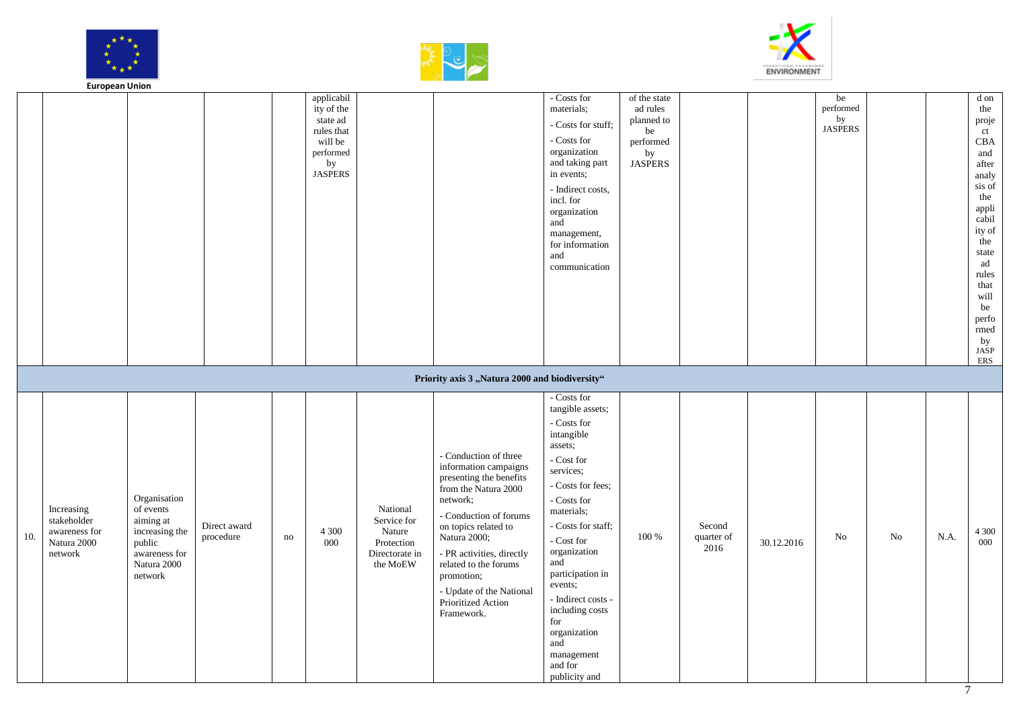





|     | <b>European Union</b>                                                |                                                                                                               |                           |    |                                                                                                    |                                                                               |                                                                                                                                                                                                                                                                                                                     |                                                                                                                                                                                                                                                                                                                                                                                        |                                                                                   |                              |            |                                         |    |      |                                                                                                                                                                                                      |
|-----|----------------------------------------------------------------------|---------------------------------------------------------------------------------------------------------------|---------------------------|----|----------------------------------------------------------------------------------------------------|-------------------------------------------------------------------------------|---------------------------------------------------------------------------------------------------------------------------------------------------------------------------------------------------------------------------------------------------------------------------------------------------------------------|----------------------------------------------------------------------------------------------------------------------------------------------------------------------------------------------------------------------------------------------------------------------------------------------------------------------------------------------------------------------------------------|-----------------------------------------------------------------------------------|------------------------------|------------|-----------------------------------------|----|------|------------------------------------------------------------------------------------------------------------------------------------------------------------------------------------------------------|
|     |                                                                      |                                                                                                               |                           |    | applicabil<br>ity of the<br>state ad<br>rules that<br>will be<br>performed<br>by<br><b>JASPERS</b> |                                                                               |                                                                                                                                                                                                                                                                                                                     | - Costs for<br>materials;<br>- Costs for stuff;<br>- Costs for<br>organization<br>and taking part<br>in events;<br>- Indirect costs,<br>incl. for<br>organization<br>and<br>management,<br>for information<br>and<br>communication                                                                                                                                                     | of the state<br>ad rules<br>planned to<br>be<br>performed<br>by<br><b>JASPERS</b> |                              |            | be<br>performed<br>by<br><b>JASPERS</b> |    |      | d on<br>the<br>proje<br>ct<br>CBA<br>and<br>after<br>analy<br>sis of<br>the<br>appli<br>cabil<br>ity of<br>the<br>state<br>ad<br>rules<br>that<br>will<br>be<br>perfo<br>rmed<br>by<br>$JASP$<br>ERS |
|     |                                                                      |                                                                                                               |                           |    |                                                                                                    |                                                                               | Priority axis 3 "Natura 2000 and biodiversity"                                                                                                                                                                                                                                                                      |                                                                                                                                                                                                                                                                                                                                                                                        |                                                                                   |                              |            |                                         |    |      |                                                                                                                                                                                                      |
| 10. | Increasing<br>stakeholder<br>awareness for<br>Natura 2000<br>network | Organisation<br>of events<br>aiming at<br>increasing the<br>public<br>awareness for<br>Natura 2000<br>network | Direct award<br>procedure | no | 4 3 0 0<br>000                                                                                     | National<br>Service for<br>Nature<br>Protection<br>Directorate in<br>the MoEW | - Conduction of three<br>information campaigns<br>presenting the benefits<br>from the Natura 2000<br>network;<br>- Conduction of forums<br>on topics related to<br>Natura 2000;<br>- PR activities, directly<br>related to the forums<br>promotion;<br>- Update of the National<br>Prioritized Action<br>Framework. | - Costs for<br>tangible assets;<br>- Costs for<br>intangible<br>assets;<br>- Cost for<br>services;<br>- Costs for fees;<br>- Costs for<br>materials;<br>- Costs for staff;<br>$\hbox{-}\operatorname{Cost}$ for<br>organization<br>and<br>participation in<br>events;<br>- Indirect costs -<br>including costs<br>for<br>organization<br>and<br>management<br>and for<br>publicity and | $100~\%$                                                                          | Second<br>quarter of<br>2016 | 30.12.2016 | No                                      | No | N.A. | 4 3 0 0<br>000                                                                                                                                                                                       |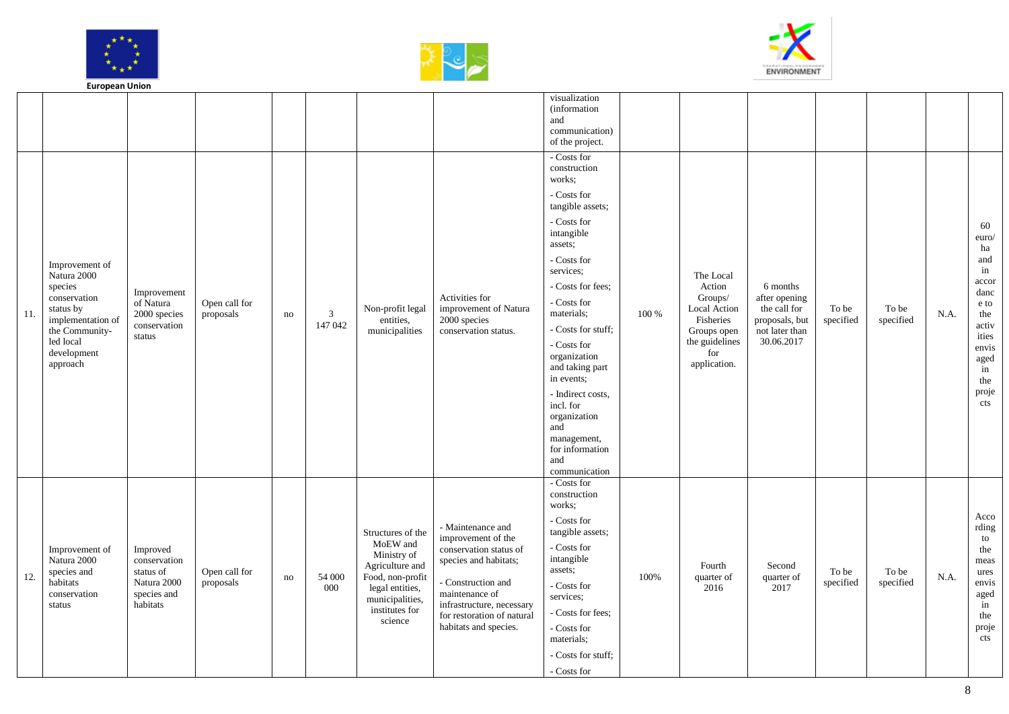





|     | Lui opean Onion                                                                                                                                      |                                                                                 |                            |    |               |                                                                                                                                                        |                                                                                                                                                                                                                        |                                                                                                                                                                                                                                                                                                                              |       |                                                                                                                     |                                                                                             |                    |                    |      |                                                                                                                              |
|-----|------------------------------------------------------------------------------------------------------------------------------------------------------|---------------------------------------------------------------------------------|----------------------------|----|---------------|--------------------------------------------------------------------------------------------------------------------------------------------------------|------------------------------------------------------------------------------------------------------------------------------------------------------------------------------------------------------------------------|------------------------------------------------------------------------------------------------------------------------------------------------------------------------------------------------------------------------------------------------------------------------------------------------------------------------------|-------|---------------------------------------------------------------------------------------------------------------------|---------------------------------------------------------------------------------------------|--------------------|--------------------|------|------------------------------------------------------------------------------------------------------------------------------|
|     |                                                                                                                                                      |                                                                                 |                            |    |               |                                                                                                                                                        |                                                                                                                                                                                                                        | visualization<br><i>(information)</i><br>and<br>communication)<br>of the project.                                                                                                                                                                                                                                            |       |                                                                                                                     |                                                                                             |                    |                    |      |                                                                                                                              |
| 11. | Improvement of<br>Natura 2000<br>species<br>conservation<br>status by<br>implementation of<br>the Community-<br>led local<br>development<br>approach | Improvement<br>of Natura<br>2000 species<br>conservation<br>status              | Open call for<br>proposals | no | 3<br>147 042  | Non-profit legal<br>entities,<br>municipalities                                                                                                        | Activities for<br>improvement of Natura<br>2000 species<br>conservation status.                                                                                                                                        | - Costs for<br>construction<br>works;<br>- Costs for<br>tangible assets;<br>$\hbox{-}\ \textbf{Costs}$ for<br>intangible<br>assets;<br>- Costs for<br>services:<br>- Costs for fees:<br>- Costs for<br>materials;<br>- Costs for stuff:<br>- Costs for<br>organization<br>and taking part<br>in events;<br>- Indirect costs, | 100 % | The Local<br>Action<br>Groups/<br>Local Action<br>Fisheries<br>Groups open<br>the guidelines<br>for<br>application. | 6 months<br>after opening<br>the call for<br>proposals, but<br>not later than<br>30.06.2017 | To be<br>specified | To be<br>specified | N.A. | 60<br>euro/<br>$\,$ ha<br>and<br>in<br>accor<br>danc<br>e to<br>the<br>activ<br>ities<br>envis<br>aged<br>in<br>the<br>proje |
|     |                                                                                                                                                      |                                                                                 |                            |    |               |                                                                                                                                                        |                                                                                                                                                                                                                        | incl. for<br>organization<br>and<br>management,<br>for information<br>and<br>communication                                                                                                                                                                                                                                   |       |                                                                                                                     |                                                                                             |                    |                    |      | cts                                                                                                                          |
| 12. | Improvement of<br>Natura 2000<br>species and<br>habitats<br>conservation<br>status                                                                   | Improved<br>conservation<br>status of<br>Natura 2000<br>species and<br>habitats | Open call for<br>proposals | no | 54 000<br>000 | Structures of the<br>MoEW and<br>Ministry of<br>Agriculture and<br>Food, non-profit<br>legal entities,<br>municipalities,<br>institutes for<br>science | - Maintenance and<br>improvement of the<br>conservation status of<br>species and habitats;<br>- Construction and<br>maintenance of<br>infrastructure, necessary<br>for restoration of natural<br>habitats and species. | - Costs for<br>construction<br>works:<br>- Costs for<br>tangible assets;<br>- Costs for<br>intangible<br>assets;<br>- Costs for<br>services:<br>- Costs for fees:<br>- Costs for<br>materials;<br>- Costs for stuff:<br>- Costs for                                                                                          | 100%  | Fourth<br>quarter of<br>2016                                                                                        | Second<br>quarter of<br>2017                                                                | To be<br>specified | To be<br>specified | N.A. | Acco<br>rding<br>to<br>the<br>meas<br>ures<br>envis<br>aged<br>in<br>the<br>proje<br>cts                                     |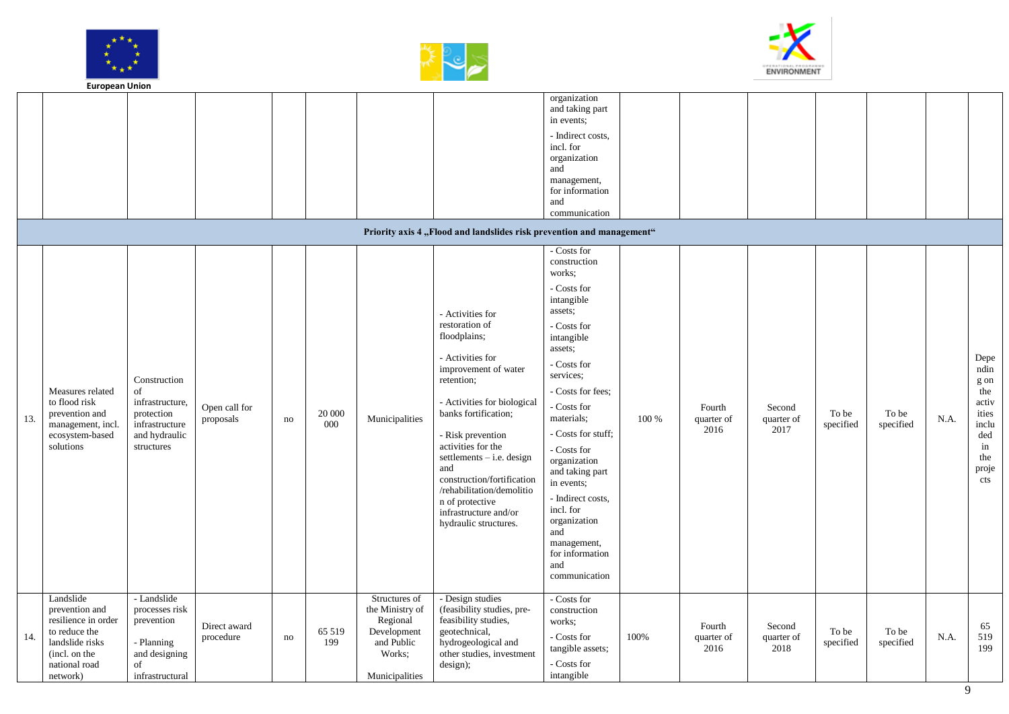





|     | <b>European Union</b>                                                                                                                |                                                                                                      |                            |    |               |                                                                                                       |                                                                                                                                                                                                                                                                                                                                                                                      |                                                                                                                                                                                                                                                                                                                                                                                               |       |                              |                              |                    |                    |      |                                                                                                   |
|-----|--------------------------------------------------------------------------------------------------------------------------------------|------------------------------------------------------------------------------------------------------|----------------------------|----|---------------|-------------------------------------------------------------------------------------------------------|--------------------------------------------------------------------------------------------------------------------------------------------------------------------------------------------------------------------------------------------------------------------------------------------------------------------------------------------------------------------------------------|-----------------------------------------------------------------------------------------------------------------------------------------------------------------------------------------------------------------------------------------------------------------------------------------------------------------------------------------------------------------------------------------------|-------|------------------------------|------------------------------|--------------------|--------------------|------|---------------------------------------------------------------------------------------------------|
|     |                                                                                                                                      |                                                                                                      |                            |    |               |                                                                                                       | Priority axis 4 "Flood and landslides risk prevention and management"                                                                                                                                                                                                                                                                                                                | organization<br>and taking part<br>in events;<br>- Indirect costs,<br>incl. for<br>organization<br>and<br>management,<br>for information<br>and<br>communication<br>- Costs for                                                                                                                                                                                                               |       |                              |                              |                    |                    |      |                                                                                                   |
| 13. | Measures related<br>to flood risk<br>prevention and<br>management, incl.<br>ecosystem-based<br>solutions                             | Construction<br>of<br>infrastructure,<br>protection<br>infrastructure<br>and hydraulic<br>structures | Open call for<br>proposals | no | 20 000<br>000 | Municipalities                                                                                        | - Activities for<br>restoration of<br>floodplains;<br>- Activities for<br>improvement of water<br>retention;<br>- Activities for biological<br>banks fortification;<br>- Risk prevention<br>activities for the<br>settlements $-$ i.e. design<br>and<br>construction/fortification<br>/rehabilitation/demolitio<br>n of protective<br>infrastructure and/or<br>hydraulic structures. | construction<br>works;<br>- Costs for<br>intangible<br>assets;<br>- Costs for<br>intangible<br>assets;<br>- Costs for<br>services:<br>- Costs for fees;<br>- Costs for<br>materials;<br>- Costs for stuff;<br>- Costs for<br>organization<br>and taking part<br>in events;<br>- Indirect costs,<br>incl. for<br>organization<br>and<br>management,<br>for information<br>and<br>communication | 100 % | Fourth<br>quarter of<br>2016 | Second<br>quarter of<br>2017 | To be<br>specified | To be<br>specified | N.A. | Depe<br>ndin<br>g on<br>the<br>activ<br>ities<br>inclu<br>$\rm{ded}$<br>in<br>the<br>proje<br>cts |
| 14. | Landslide<br>prevention and<br>resilience in order<br>to reduce the<br>landslide risks<br>(incl. on the<br>national road<br>network) | - Landslide<br>processes risk<br>prevention<br>- Planning<br>and designing<br>of<br>infrastructural  | Direct award<br>procedure  | no | 65 519<br>199 | Structures of<br>the Ministry of<br>Regional<br>Development<br>and Public<br>Works:<br>Municipalities | - Design studies<br>(feasibility studies, pre-<br>feasibility studies,<br>geotechnical,<br>hydrogeological and<br>other studies, investment<br>design);                                                                                                                                                                                                                              | - Costs for<br>construction<br>works:<br>- Costs for<br>tangible assets;<br>- Costs for<br>intangible                                                                                                                                                                                                                                                                                         | 100%  | Fourth<br>quarter of<br>2016 | Second<br>quarter of<br>2018 | To be<br>specified | To be<br>specified | N.A. | 65<br>519<br>199                                                                                  |